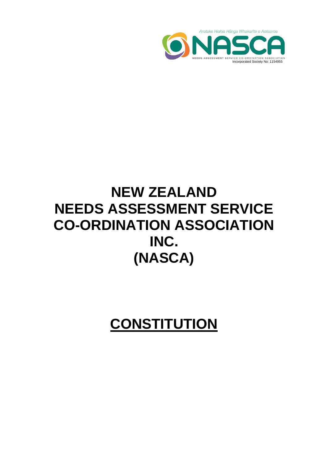

# **NEW ZEALAND NEEDS ASSESSMENT SERVICE CO-ORDINATION ASSOCIATION INC. (NASCA)**

**CONSTITUTION**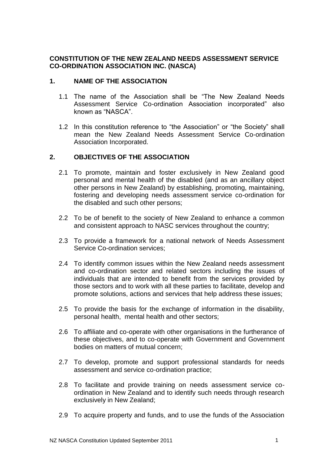## **CONSTITUTION OF THE NEW ZEALAND NEEDS ASSESSMENT SERVICE CO-ORDINATION ASSOCIATION INC. (NASCA)**

## **1. NAME OF THE ASSOCIATION**

- 1.1 The name of the Association shall be "The New Zealand Needs Assessment Service Co-ordination Association incorporated" also known as "NASCA".
- 1.2 In this constitution reference to "the Association" or "the Society" shall mean the New Zealand Needs Assessment Service Co-ordination Association Incorporated.

## **2. OBJECTIVES OF THE ASSOCIATION**

- 2.1 To promote, maintain and foster exclusively in New Zealand good personal and mental health of the disabled (and as an ancillary object other persons in New Zealand) by establishing, promoting, maintaining, fostering and developing needs assessment service co-ordination for the disabled and such other persons;
- 2.2 To be of benefit to the society of New Zealand to enhance a common and consistent approach to NASC services throughout the country;
- 2.3 To provide a framework for a national network of Needs Assessment Service Co-ordination services;
- 2.4 To identify common issues within the New Zealand needs assessment and co-ordination sector and related sectors including the issues of individuals that are intended to benefit from the services provided by those sectors and to work with all these parties to facilitate, develop and promote solutions, actions and services that help address these issues;
- 2.5 To provide the basis for the exchange of information in the disability, personal health, mental health and other sectors;
- 2.6 To affiliate and co-operate with other organisations in the furtherance of these objectives, and to co-operate with Government and Government bodies on matters of mutual concern;
- 2.7 To develop, promote and support professional standards for needs assessment and service co-ordination practice;
- 2.8 To facilitate and provide training on needs assessment service coordination in New Zealand and to identify such needs through research exclusively in New Zealand;
- 2.9 To acquire property and funds, and to use the funds of the Association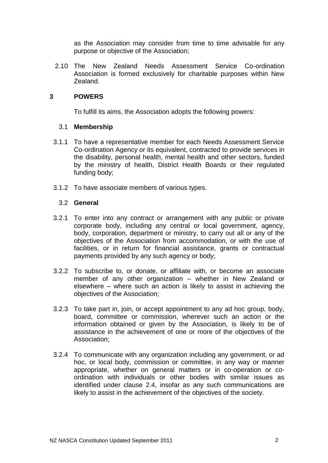as the Association may consider from time to time advisable for any purpose or objective of the Association;

2.10 The New Zealand Needs Assessment Service Co-ordination Association is formed exclusively for charitable purposes within New Zealand.

## **3 POWERS**

To fulfill its aims, the Association adopts the following powers:

## 3.1 **Membership**

- 3.1.1 To have a representative member for each Needs Assessment Service Co-ordination Agency or its equivalent, contracted to provide services in the disability, personal health, mental health and other sectors, funded by the ministry of health, District Health Boards or their regulated funding body;
- 3.1.2 To have associate members of various types.

## 3.2 **General**

- 3.2.1 To enter into any contract or arrangement with any public or private corporate body, including any central or local government, agency, body, corporation, department or ministry, to carry out all or any of the objectives of the Association from accommodation, or with the use of facilities, or in return for financial assistance, grants or contractual payments provided by any such agency or body;
- 3.2.2 To subscribe to, or donate, or affiliate with, or become an associate member of any other organization – whether in New Zealand or elsewhere – where such an action is likely to assist in achieving the objectives of the Association;
- 3.2.3 To take part in, join, or accept appointment to any ad hoc group, body, board, committee or commission, wherever such an action or the information obtained or given by the Association, is likely to be of assistance in the achievement of one or more of the objectives of the Association;
- 3.2.4 To communicate with any organization including any government, or ad hoc, or local body, commission or committee, in any way or manner appropriate, whether on general matters or in co-operation or coordination with individuals or other bodies with similar issues as identified under clause 2.4, insofar as any such communications are likely to assist in the achievement of the objectives of the society.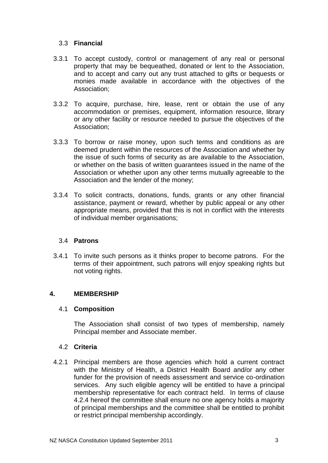## 3.3 **Financial**

- 3.3.1 To accept custody, control or management of any real or personal property that may be bequeathed, donated or lent to the Association, and to accept and carry out any trust attached to gifts or bequests or monies made available in accordance with the objectives of the Association;
- 3.3.2 To acquire, purchase, hire, lease, rent or obtain the use of any accommodation or premises, equipment, information resource, library or any other facility or resource needed to pursue the objectives of the Association;
- 3.3.3 To borrow or raise money, upon such terms and conditions as are deemed prudent within the resources of the Association and whether by the issue of such forms of security as are available to the Association, or whether on the basis of written guarantees issued in the name of the Association or whether upon any other terms mutually agreeable to the Association and the lender of the money;
- 3.3.4 To solicit contracts, donations, funds, grants or any other financial assistance, payment or reward, whether by public appeal or any other appropriate means, provided that this is not in conflict with the interests of individual member organisations;

# 3.4 **Patrons**

3.4.1 To invite such persons as it thinks proper to become patrons. For the terms of their appointment, such patrons will enjoy speaking rights but not voting rights.

# **4. MEMBERSHIP**

## 4.1 **Composition**

The Association shall consist of two types of membership, namely Principal member and Associate member.

## 4.2 **Criteria**

4.2.1 Principal members are those agencies which hold a current contract with the Ministry of Health, a District Health Board and/or any other funder for the provision of needs assessment and service co-ordination services. Any such eligible agency will be entitled to have a principal membership representative for each contract held. In terms of clause 4.2.4 hereof the committee shall ensure no one agency holds a majority of principal memberships and the committee shall be entitled to prohibit or restrict principal membership accordingly.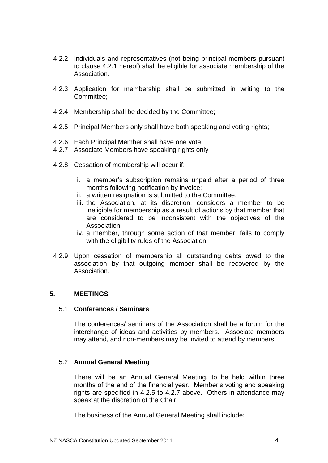- 4.2.2 Individuals and representatives (not being principal members pursuant to clause 4.2.1 hereof) shall be eligible for associate membership of the Association.
- 4.2.3 Application for membership shall be submitted in writing to the Committee;
- 4.2.4 Membership shall be decided by the Committee;
- 4.2.5 Principal Members only shall have both speaking and voting rights;
- 4.2.6 Each Principal Member shall have one vote;
- 4.2.7 Associate Members have speaking rights only
- 4.2.8 Cessation of membership will occur if:
	- i. a member's subscription remains unpaid after a period of three months following notification by invoice:
	- ii. a written resignation is submitted to the Committee:
	- iii. the Association, at its discretion, considers a member to be ineligible for membership as a result of actions by that member that are considered to be inconsistent with the objectives of the Association:
	- iv. a member, through some action of that member, fails to comply with the eligibility rules of the Association:
- 4.2.9 Upon cessation of membership all outstanding debts owed to the association by that outgoing member shall be recovered by the Association.

## **5. MEETINGS**

#### 5.1 **Conferences / Seminars**

The conferences/ seminars of the Association shall be a forum for the interchange of ideas and activities by members. Associate members may attend, and non-members may be invited to attend by members;

## 5.2 **Annual General Meeting**

There will be an Annual General Meeting, to be held within three months of the end of the financial year. Member's voting and speaking rights are specified in 4.2.5 to 4.2.7 above. Others in attendance may speak at the discretion of the Chair.

The business of the Annual General Meeting shall include: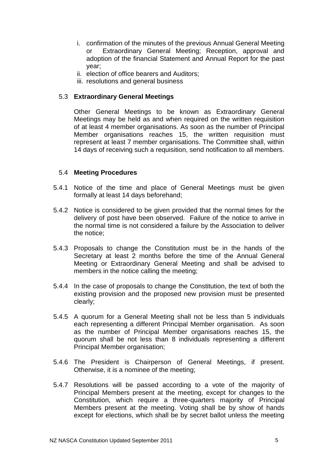- i. confirmation of the minutes of the previous Annual General Meeting or Extraordinary General Meeting; Reception, approval and adoption of the financial Statement and Annual Report for the past year;
- ii. election of office bearers and Auditors;
- iii. resolutions and general business

## 5.3 **Extraordinary General Meetings**

Other General Meetings to be known as Extraordinary General Meetings may be held as and when required on the written requisition of at least 4 member organisations. As soon as the number of Principal Member organisations reaches 15, the written requisition must represent at least 7 member organisations. The Committee shall, within 14 days of receiving such a requisition, send notification to all members.

## 5.4 **Meeting Procedures**

- 5.4.1 Notice of the time and place of General Meetings must be given formally at least 14 days beforehand;
- 5.4.2 Notice is considered to be given provided that the normal times for the delivery of post have been observed. Failure of the notice to arrive in the normal time is not considered a failure by the Association to deliver the notice;
- 5.4.3 Proposals to change the Constitution must be in the hands of the Secretary at least 2 months before the time of the Annual General Meeting or Extraordinary General Meeting and shall be advised to members in the notice calling the meeting;
- 5.4.4 In the case of proposals to change the Constitution, the text of both the existing provision and the proposed new provision must be presented clearly;
- 5.4.5 A quorum for a General Meeting shall not be less than 5 individuals each representing a different Principal Member organisation. As soon as the number of Principal Member organisations reaches 15, the quorum shall be not less than 8 individuals representing a different Principal Member organisation;
- 5.4.6 The President is Chairperson of General Meetings, if present. Otherwise, it is a nominee of the meeting;
- 5.4.7 Resolutions will be passed according to a vote of the majority of Principal Members present at the meeting, except for changes to the Constitution, which require a three-quarters majority of Principal Members present at the meeting. Voting shall be by show of hands except for elections, which shall be by secret ballot unless the meeting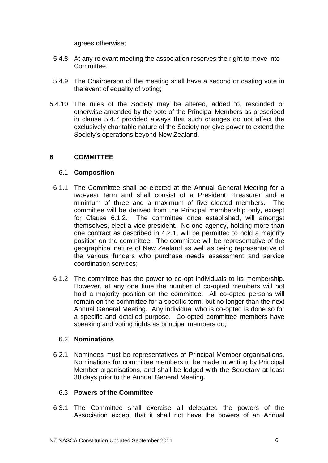agrees otherwise;

- 5.4.8 At any relevant meeting the association reserves the right to move into Committee;
- 5.4.9 The Chairperson of the meeting shall have a second or casting vote in the event of equality of voting;
- 5.4.10 The rules of the Society may be altered, added to, rescinded or otherwise amended by the vote of the Principal Members as prescribed in clause 5.4.7 provided always that such changes do not affect the exclusively charitable nature of the Society nor give power to extend the Society's operations beyond New Zealand.

# **6 COMMITTEE**

## 6.1 **Composition**

- 6.1.1 The Committee shall be elected at the Annual General Meeting for a two-year term and shall consist of a President, Treasurer and a minimum of three and a maximum of five elected members. The committee will be derived from the Principal membership only, except for Clause 6.1.2. The committee once established, will amongst themselves, elect a vice president. No one agency, holding more than one contract as described in 4.2.1, will be permitted to hold a majority position on the committee. The committee will be representative of the geographical nature of New Zealand as well as being representative of the various funders who purchase needs assessment and service coordination services;
- 6.1.2 The committee has the power to co-opt individuals to its membership. However, at any one time the number of co-opted members will not hold a majority position on the committee. All co-opted persons will remain on the committee for a specific term, but no longer than the next Annual General Meeting. Any individual who is co-opted is done so for a specific and detailed purpose. Co-opted committee members have speaking and voting rights as principal members do;

## 6.2 **Nominations**

6.2.1 Nominees must be representatives of Principal Member organisations. Nominations for committee members to be made in writing by Principal Member organisations, and shall be lodged with the Secretary at least 30 days prior to the Annual General Meeting.

## 6.3 **Powers of the Committee**

6.3.1 The Committee shall exercise all delegated the powers of the Association except that it shall not have the powers of an Annual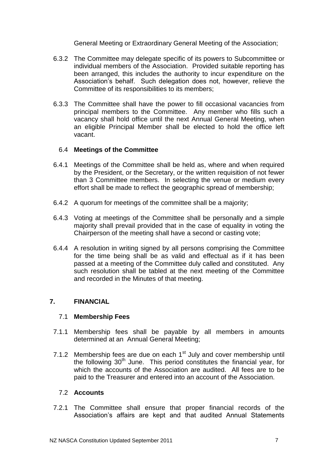General Meeting or Extraordinary General Meeting of the Association;

- 6.3.2 The Committee may delegate specific of its powers to Subcommittee or individual members of the Association. Provided suitable reporting has been arranged, this includes the authority to incur expenditure on the Association's behalf. Such delegation does not, however, relieve the Committee of its responsibilities to its members;
- 6.3.3 The Committee shall have the power to fill occasional vacancies from principal members to the Committee. Any member who fills such a vacancy shall hold office until the next Annual General Meeting, when an eligible Principal Member shall be elected to hold the office left vacant.

## 6.4 **Meetings of the Committee**

- 6.4.1 Meetings of the Committee shall be held as, where and when required by the President, or the Secretary, or the written requisition of not fewer than 3 Committee members. In selecting the venue or medium every effort shall be made to reflect the geographic spread of membership;
- 6.4.2 A quorum for meetings of the committee shall be a majority;
- 6.4.3 Voting at meetings of the Committee shall be personally and a simple majority shall prevail provided that in the case of equality in voting the Chairperson of the meeting shall have a second or casting vote;
- 6.4.4 A resolution in writing signed by all persons comprising the Committee for the time being shall be as valid and effectual as if it has been passed at a meeting of the Committee duly called and constituted. Any such resolution shall be tabled at the next meeting of the Committee and recorded in the Minutes of that meeting.

# **7. FINANCIAL**

## 7.1 **Membership Fees**

- 7.1.1 Membership fees shall be payable by all members in amounts determined at an Annual General Meeting;
- 7.1.2 Membership fees are due on each  $1<sup>st</sup>$  July and cover membership until the following  $30<sup>th</sup>$  June. This period constitutes the financial year, for which the accounts of the Association are audited. All fees are to be paid to the Treasurer and entered into an account of the Association.

## 7.2 **Accounts**

7.2.1 The Committee shall ensure that proper financial records of the Association's affairs are kept and that audited Annual Statements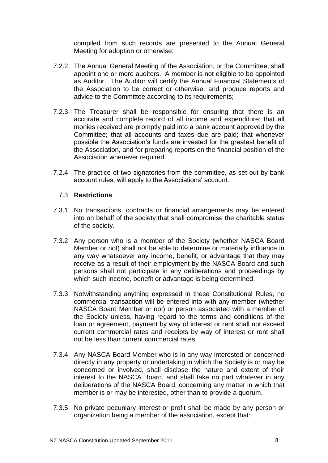compiled from such records are presented to the Annual General Meeting for adoption or otherwise;

- 7.2.2 The Annual General Meeting of the Association, or the Committee, shall appoint one or more auditors. A member is not eligible to be appointed as Auditor. The Auditor will certify the Annual Financial Statements of the Association to be correct or otherwise, and produce reports and advice to the Committee according to its requirements;
- 7.2.3 The Treasurer shall be responsible for ensuring that there is an accurate and complete record of all income and expenditure; that all monies received are promptly paid into a bank account approved by the Committee; that all accounts and taxes due are paid; that whenever possible the Association's funds are invested for the greatest benefit of the Association, and for preparing reports on the financial position of the Association whenever required.
- 7.2.4 The practice of two signatories from the committee, as set out by bank account rules, will apply to the Associations' account.

## 7.3 **Restrictions**

- 7.3.1 No transactions, contracts or financial arrangements may be entered into on behalf of the society that shall compromise the charitable status of the society.
- 7.3.2 Any person who is a member of the Society (whether NASCA Board Member or not) shall not be able to determine or materially influence in any way whatsoever any income, benefit, or advantage that they may receive as a result of their employment by the NASCA Board and such persons shall not participate in any deliberations and proceedings by which such income, benefit or advantage is being determined.
- 7.3.3 Notwithstanding anything expressed in these Constitutional Rules, no commercial transaction will be entered into with any member (whether NASCA Board Member or not) or person associated with a member of the Society unless, having regard to the terms and conditions of the loan or agreement, payment by way of interest or rent shall not exceed current commercial rates and receipts by way of interest or rent shall not be less than current commercial rates.
- 7.3.4 Any NASCA Board Member who is in any way interested or concerned directly in any property or undertaking in which the Society is or may be concerned or involved, shall disclose the nature and extent of their interest to the NASCA Board, and shall take no part whatever in any deliberations of the NASCA Board, concerning any matter in which that member is or may be interested, other than to provide a quorum.
- 7.3.5 No private pecuniary interest or profit shall be made by any person or organization being a member of the association, except that: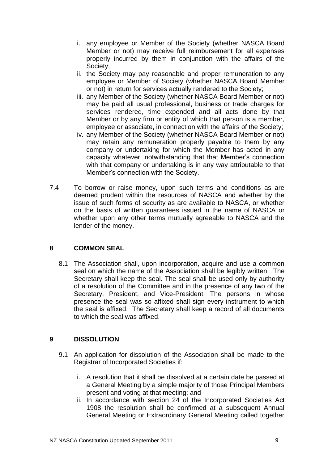- i. any employee or Member of the Society (whether NASCA Board Member or not) may receive full reimbursement for all expenses properly incurred by them in conjunction with the affairs of the Society;
- ii. the Society may pay reasonable and proper remuneration to any employee or Member of Society (whether NASCA Board Member or not) in return for services actually rendered to the Society;
- iii. any Member of the Society (whether NASCA Board Member or not) may be paid all usual professional, business or trade charges for services rendered, time expended and all acts done by that Member or by any firm or entity of which that person is a member, employee or associate, in connection with the affairs of the Society;
- iv. any Member of the Society (whether NASCA Board Member or not) may retain any remuneration properly payable to them by any company or undertaking for which the Member has acted in any capacity whatever, notwithstanding that that Member's connection with that company or undertaking is in any way attributable to that Member's connection with the Society.
- 7.4 To borrow or raise money, upon such terms and conditions as are deemed prudent within the resources of NASCA and whether by the issue of such forms of security as are available to NASCA, or whether on the basis of written guarantees issued in the name of NASCA or whether upon any other terms mutually agreeable to NASCA and the lender of the money.

# **8 COMMON SEAL**

8.1 The Association shall, upon incorporation, acquire and use a common seal on which the name of the Association shall be legibly written. The Secretary shall keep the seal. The seal shall be used only by authority of a resolution of the Committee and in the presence of any two of the Secretary, President, and Vice-President. The persons in whose presence the seal was so affixed shall sign every instrument to which the seal is affixed. The Secretary shall keep a record of all documents to which the seal was affixed.

# **9 DISSOLUTION**

- 9.1 An application for dissolution of the Association shall be made to the Registrar of Incorporated Societies if:
	- i. A resolution that it shall be dissolved at a certain date be passed at a General Meeting by a simple majority of those Principal Members present and voting at that meeting; and
	- ii. In accordance with section 24 of the Incorporated Societies Act 1908 the resolution shall be confirmed at a subsequent Annual General Meeting or Extraordinary General Meeting called together